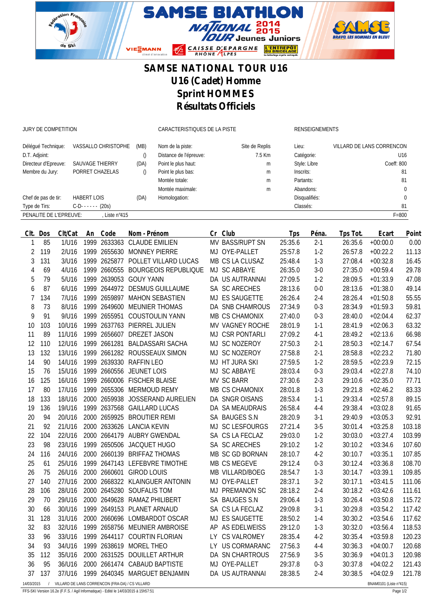

## **SAMSE NATIONAL TOUR U16 U16 (Cadet) Homme Sprint HOMMES Résultats Officiels**

JURY DE COMPETITION CARACTERISTIQUES DE LA PISTE RENSEIGNEMENTS

| Délégué Technique:   | VASSALLO CHRISTOPHE                                         | (MB) | Nom de la piste:       | Site de Replis | Lieu:         | VILLARD DE LANS CORRENCON |  |  |  |
|----------------------|-------------------------------------------------------------|------|------------------------|----------------|---------------|---------------------------|--|--|--|
| D.T. Adjoint:        |                                                             |      | Distance de l'épreuve: | 7.5 Km         | Catégorie:    | U16                       |  |  |  |
| Directeur d'Epreuve: | SAUVAGE THIERRY                                             | (DA) | Point le plus haut:    | m              | Style: Libre  | Coeff: 800                |  |  |  |
| Membre du Jury:      | PORRET CHAZELAS                                             |      | Point le plus bas:     | m              | Inscrits:     | 81                        |  |  |  |
|                      |                                                             |      | Montée totale:         | m              | Partants:     | 81                        |  |  |  |
|                      |                                                             |      | Montée maximale:       | m              | Abandons:     |                           |  |  |  |
| Chef de pas de tir:  | <b>HABERT LOIS</b>                                          | (DA) | Homologation:          |                | Disqualifiés: |                           |  |  |  |
| Type de Tirs:        | $C-D$ ----- (20s)                                           |      |                        |                | Classés:      | 81                        |  |  |  |
|                      | PENALITE DE L'EPREUVE:<br>$F = 800$<br>Liste $n^{\circ}415$ |      |                        |                |               |                           |  |  |  |

| CIt.           | Dos                                                                         | Clt/Cat |  | An Code      | Nom - Prénom                      |  | Cr Club         | <b>Tps</b> | Péna.   | Tps Tot. | Ecart      | Point  |
|----------------|-----------------------------------------------------------------------------|---------|--|--------------|-----------------------------------|--|-----------------|------------|---------|----------|------------|--------|
| 1              | 85                                                                          | 1/U16   |  | 1999 2633363 | <b>CLAUDE EMILIEN</b>             |  | MV BASS/RUPT SN | 25:35.6    | $2 - 1$ | 26:35.6  | $+00:00.0$ | 0.00   |
| 2              | 119                                                                         | 2/U16   |  |              | 1999 2655630 MONNEY PIERRE        |  | MJ OYE-PALLET   | 25:57.8    | $1-2$   | 26:57.8  | $+00:22.2$ | 11.13  |
| 3              | 131                                                                         | 3/U16   |  |              | 1999 2625877 POLLET VILLARD LUCAS |  | MB CS LA CLUSAZ | 25:48.4    | $1-3$   | 27:08.4  | $+00:32.8$ | 16.45  |
| $\overline{4}$ | 69                                                                          | 4/U16   |  |              | 1999 2660555 BOURGEOIS REPUBLIQUE |  | MJ SC ABBAYE    | 26:35.0    | $3-0$   | 27:35.0  | $+00:59.4$ | 29.78  |
| 5              | 79                                                                          | 5/U16   |  |              | 1999 2639053 GOUY YANN            |  | DA US AUTRANNAI | 27:09.5    | $1-2$   | 28:09.5  | $+01:33.9$ | 47.08  |
| 6              | 87                                                                          | 6/U16   |  |              | 1999 2644972 DESMUS GUILLAUME     |  | SA SC ARECHES   | 28:13.6    | $0-0$   | 28:13.6  | $+01:38.0$ | 49.14  |
| 7              | 134                                                                         | 7/U16   |  |              | 1999 2659897 MAHON SEBASTIEN      |  | MJ ES SAUGETTE  | 26:26.4    | $2 - 4$ | 28:26.4  | $+01:50.8$ | 55.55  |
| 8              | 73                                                                          | 8/U16   |  |              | 1999 2649600 MEUNIER THOMAS       |  | DA SNB CHAMROUS | 27:34.9    | $0 - 3$ | 28:34.9  | $+01:59.3$ | 59.81  |
| 9              | 91                                                                          | 9/U16   |  |              | 1999 2655951 COUSTOULIN YANN      |  | MB CS CHAMONIX  | 27:40.0    | $0 - 3$ | 28:40.0  | $+02:04.4$ | 62.37  |
| 10             | 103                                                                         | 10/U16  |  |              | 1999 2637763 PIERREL JULIEN       |  | MV VAGNEY ROCHE | 28:01.9    | $1 - 1$ | 28:41.9  | $+02:06.3$ | 63.32  |
| 11             | 89                                                                          | 11/U16  |  |              | 1999 2656607 DREZET JASON         |  | MJ CSR PONTARLI | 27:09.2    | $4-1$   | 28:49.2  | $+02:13.6$ | 66.98  |
| 12             | 110                                                                         | 12/U16  |  | 1999 2661281 | <b>BALDASSARI SACHA</b>           |  | MJ SC NOZEROY   | 27:50.3    | $2 - 1$ | 28:50.3  | $+02:14.7$ | 67.54  |
| 13             | 132                                                                         | 13/U16  |  |              | 1999 2661282 ROUSSEAUX SIMON      |  | MJ SC NOZEROY   | 27:58.8    | $2 - 1$ | 28:58.8  | $+02:23.2$ | 71.80  |
| 14             | 90                                                                          | 14/U16  |  |              | 1999 2639330 RAFFIN LEO           |  | MJ HT JURA SKI  | 27:59.5    | $1 - 2$ | 28:59.5  | $+02:23.9$ | 72.15  |
| 15             | 76                                                                          | 15/U16  |  |              | 1999 2660556 JEUNET LOIS          |  | MJ SC ABBAYE    | 28:03.4    | $0 - 3$ | 29:03.4  | $+02:27.8$ | 74.10  |
| 16             | 125                                                                         | 16/U16  |  |              | 1999 2660006 FISCHER BLAISE       |  | MV SC BARR      | 27:30.6    | $2 - 3$ | 29:10.6  | $+02:35.0$ | 77.71  |
| 17             | 80                                                                          | 17/U16  |  |              | 1999 2655306 MERMOUD REMY         |  | MB CS CHAMONIX  | 28:01.8    | $1 - 3$ | 29:21.8  | $+02:46.2$ | 83.33  |
| 18             | 133                                                                         | 18/U16  |  |              | 2000 2659938 JOSSERAND AURELIEN   |  | DA SNGR OISANS  | 28:53.4    | $1 - 1$ | 29:33.4  | $+02:57.8$ | 89.15  |
| 19             | 136                                                                         | 19/U16  |  |              | 1999 2637568 GAILLARD LUCAS       |  | DA SA MEAUDRAIS | 26:58.4    | $4 - 4$ | 29:38.4  | $+03:02.8$ | 91.65  |
| 20             | 94                                                                          | 20/U16  |  |              | 2000 2659925 BROUTIER REMI        |  | SA BAUGES S.N   | 28:20.9    | $3-1$   | 29:40.9  | $+03:05.3$ | 92.91  |
| 21             | 92                                                                          | 21/U16  |  |              | 2000 2633626 LANCIA KEVIN         |  | MJ SC LESFOURGS | 27:21.4    | $3-5$   | 30:01.4  | $+03:25.8$ | 103.18 |
| 22             | 104                                                                         | 22/U16  |  |              | 2000 2664179 AUBRY GWENDAL        |  | SA CS LA FECLAZ | 29:03.0    | $1-2$   | 30:03.0  | $+03:27.4$ | 103.99 |
| 23             | 98                                                                          | 23/U16  |  |              | 1999 2650506 JACQUET HUGO         |  | SA SC ARECHES   | 29:10.2    | $1-2$   | 30:10.2  | $+03:34.6$ | 107.60 |
| 24             | 116                                                                         | 24/U16  |  |              | 2000 2660139 BRIFFAZ THOMAS       |  | MB SC GD BORNAN | 28:10.7    | $4-2$   | 30:10.7  | $+03:35.1$ | 107.85 |
| 25             | 61                                                                          | 25/U16  |  |              | 1999 2647143 LEFEBVRE TIMOTHE     |  | MB CS MEGEVE    | 29:12.4    | $0 - 3$ | 30:12.4  | $+03:36.8$ | 108.70 |
| 26             | 75                                                                          | 26/U16  |  |              | 2000 2660601 GIROD LOUIS          |  | MB VILLARD/BOEG | 28:54.7    | $1-3$   | 30:14.7  | $+03:39.1$ | 109.85 |
| 27             | 140                                                                         | 27/U16  |  |              | 2000 2668322 KLAINGUER ANTONIN    |  | MJ OYE-PALLET   | 28:37.1    | $3-2$   | 30:17.1  | $+03:41.5$ | 111.06 |
| 28             | 106                                                                         | 28/U16  |  |              | 2000 2645280 SOUFALIS TOM         |  | MJ PREMANON SC  | 28:18.2    | $2 - 4$ | 30:18.2  | $+03:42.6$ | 111.61 |
| 29             | 70                                                                          | 29/U16  |  |              | 2000 2649628 RAMAZ PHILIBERT      |  | SA BAUGES S.N   | 29:06.4    | $1-3$   | 30:26.4  | $+03:50.8$ | 115.72 |
| 30             | 66                                                                          | 30/U16  |  |              | 1999 2649153 PLANET ARNAUD        |  | SA CS LA FECLAZ | 29:09.8    | $3-1$   | 30:29.8  | $+03:54.2$ | 117.42 |
| 31             | 128                                                                         | 31/U16  |  |              | 2000 2660696 LOMBARDOT OSCAR      |  | MJ ES SAUGETTE  | 28:50.2    | $1 - 4$ | 30:30.2  | $+03:54.6$ | 117.62 |
| 32             | 83                                                                          | 32/U16  |  |              | 1999 2658756 MEUNIER AMBROISE     |  | AP AS EDELWEISS | 29:12.0    | $1-3$   | 30:32.0  | $+03:56.4$ | 118.53 |
| 33             | 96                                                                          | 33/U16  |  |              | 1999 2644117 COURTIN FLORIAN      |  | LY CS VALROMEY  | 28:35.4    | $4-2$   | 30:35.4  | $+03:59.8$ | 120.23 |
| 34             | 93                                                                          | 34/U16  |  |              | 1999 2638619 MOREL THEO           |  | LY US CORMARANC | 27:56.3    | $4 - 4$ | 30:36.3  | $+04:00.7$ | 120.68 |
| 35             | 112                                                                         | 35/U16  |  |              | 2000 2631525 DOUILLET ARTHUR      |  | DA SN CHARTROUS | 27:56.9    | $3-5$   | 30:36.9  | $+04:01.3$ | 120.98 |
| 36             | 95                                                                          | 36/U16  |  |              | 2000 2661474 CABAUD BAPTISTE      |  | MJ OYE-PALLET   | 29:37.8    | $0 - 3$ | 30:37.8  | $+04:02.2$ | 121.43 |
| 37             | 137                                                                         | 37/U16  |  |              | 1999 2640345 MARGUET BENJAMIN     |  | DA US AUTRANNAI | 28:38.5    | $2 - 4$ | 30:38.5  | $+04:02.9$ | 121.78 |
| 14/03/2015     | / VILLARD DE LANS CORRENCON (FRA-DA) / CS VILLARD<br>BNAM0101 (Liste n°415) |         |  |              |                                   |  |                 |            |         |          |            |        |

FFS-SKI Version 16.2e (F.F.S. / Agil Informatique) - Edité le 14/03/2015 à 15h57:51 Page 1/2